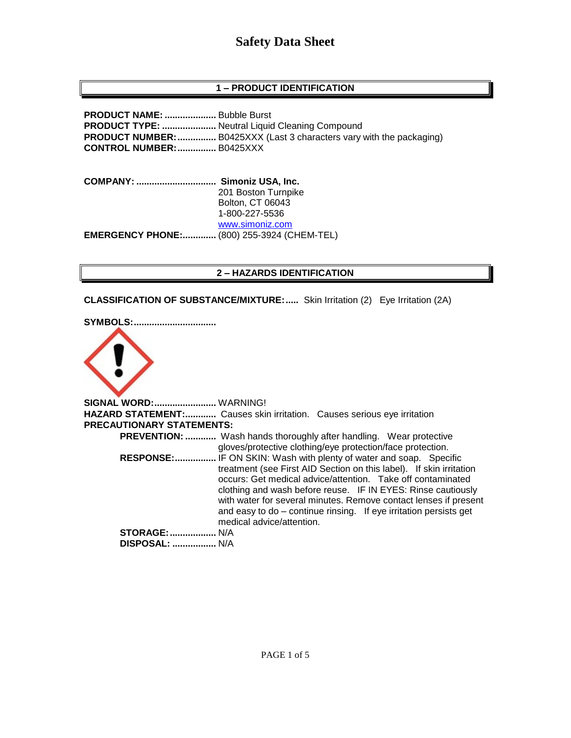### **1 – PRODUCT IDENTIFICATION**

**PRODUCT NAME: ....................** Bubble Burst **PRODUCT TYPE: .....................** Neutral Liquid Cleaning Compound **PRODUCT NUMBER:...............** B0425XXX (Last 3 characters vary with the packaging) **CONTROL NUMBER:...............** B0425XXX

**COMPANY: ............................... Simoniz USA, Inc.** 201 Boston Turnpike Bolton, CT 06043 1-800-227-5536 [www.simoniz.com](http://www.simoniz.com/) **EMERGENCY PHONE:.............** (800) 255-3924 (CHEM-TEL)

### **2 – HAZARDS IDENTIFICATION**

**CLASSIFICATION OF SUBSTANCE/MIXTURE:.....** Skin Irritation (2) Eye Irritation (2A)

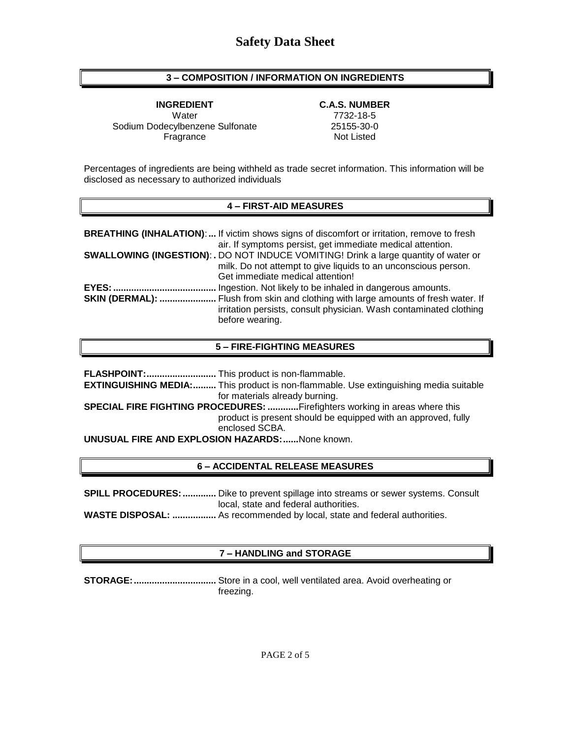### **3 – COMPOSITION / INFORMATION ON INGREDIENTS**

**INGREDIENT C.A.S. NUMBER** Water 7732-18-5 Sodium Dodecylbenzene Sulfonate 25155-30-0 Fragrance Not Listed

Percentages of ingredients are being withheld as trade secret information. This information will be disclosed as necessary to authorized individuals

#### **4 – FIRST-AID MEASURES**

|                        | <b>BREATHING (INHALATION):</b> If victim shows signs of discomfort or irritation, remove to fresh |
|------------------------|---------------------------------------------------------------------------------------------------|
|                        | air. If symptoms persist, get immediate medical attention.                                        |
|                        | <b>SWALLOWING (INGESTION): .</b> DO NOT INDUCE VOMITING! Drink a large quantity of water or       |
|                        | milk. Do not attempt to give liquids to an unconscious person.                                    |
|                        | Get immediate medical attention!                                                                  |
| EYES:                  | Ingestion. Not likely to be inhaled in dangerous amounts.                                         |
| <b>SKIN (DERMAL): </b> | . Flush from skin and clothing with large amounts of fresh water. If                              |
|                        | irritation persists, consult physician. Wash contaminated clothing                                |
|                        | before wearing.                                                                                   |

#### **5 – FIRE-FIGHTING MEASURES**

**FLASHPOINT:...........................** This product is non-flammable. **EXTINGUISHING MEDIA:.........** This product is non-flammable. Use extinguishing media suitable for materials already burning. **SPECIAL FIRE FIGHTING PROCEDURES: ............**Firefighters working in areas where this product is present should be equipped with an approved, fully enclosed SCBA. **UNUSUAL FIRE AND EXPLOSION HAZARDS:......**None known.

### **6 – ACCIDENTAL RELEASE MEASURES**

**SPILL PROCEDURES:.............** Dike to prevent spillage into streams or sewer systems. Consult local, state and federal authorities.

**WASTE DISPOSAL: .................** As recommended by local, state and federal authorities.

### **7 – HANDLING and STORAGE**

**STORAGE:................................** Store in a cool, well ventilated area. Avoid overheating or freezing.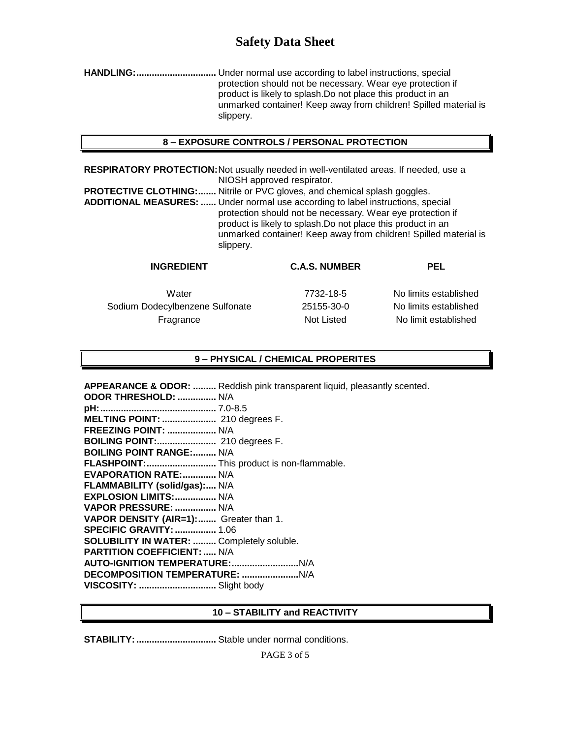**HANDLING:...............................** Under normal use according to label instructions, special protection should not be necessary. Wear eye protection if product is likely to splash.Do not place this product in an unmarked container! Keep away from children! Spilled material is slippery.

### **8 – EXPOSURE CONTROLS / PERSONAL PROTECTION**

**RESPIRATORY PROTECTION:**Not usually needed in well-ventilated areas. If needed, use a NIOSH approved respirator.

**PROTECTIVE CLOTHING:.......** Nitrile or PVC gloves, and chemical splash goggles. **ADDITIONAL MEASURES: ......** Under normal use according to label instructions, special protection should not be necessary. Wear eye protection if product is likely to splash.Do not place this product in an unmarked container! Keep away from children! Spilled material is slippery.

| <b>C.A.S. NUMBER</b> | PEL                   |
|----------------------|-----------------------|
| 7732-18-5            | No limits established |
| 25155-30-0           | No limits established |
| Not Listed           | No limit established  |
|                      |                       |

#### **9 – PHYSICAL / CHEMICAL PROPERITES**

**APPEARANCE & ODOR: .........** Reddish pink transparent liquid, pleasantly scented. **ODOR THRESHOLD: ...............** N/A **pH:.............................................** 7.0-8.5 **MELTING POINT: .....................** 210 degrees F. **FREEZING POINT: ...................** N/A **BOILING POINT:.......................** 210 degrees F. **BOILING POINT RANGE:.........** N/A **FLASHPOINT:...........................** This product is non-flammable. **EVAPORATION RATE:.............** N/A **FLAMMABILITY (solid/gas):....** N/A **EXPLOSION LIMITS:................** N/A **VAPOR PRESSURE: ................** N/A **VAPOR DENSITY (AIR=1):.......** Greater than 1. **SPECIFIC GRAVITY:................** 1.06 **SOLUBILITY IN WATER: .........** Completely soluble. **PARTITION COEFFICIENT: .....** N/A **AUTO-IGNITION TEMPERATURE:..........................**N/A **DECOMPOSITION TEMPERATURE: ......................**N/A **VISCOSITY: ..............................** Slight body

#### **10 – STABILITY and REACTIVITY**

**STABILITY:...............................** Stable under normal conditions.

PAGE 3 of 5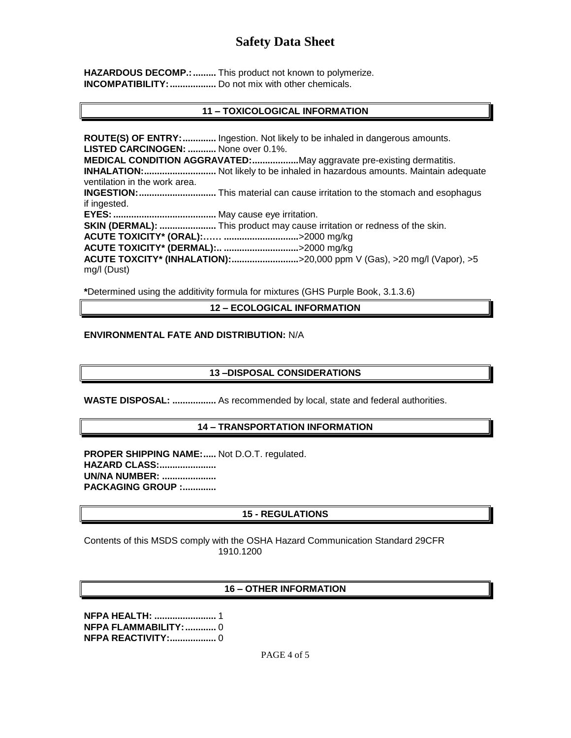HAZARDOUS DECOMP.: .......... This product not known to polymerize. **INCOMPATIBILITY:..................** Do not mix with other chemicals.

### **11 – TOXICOLOGICAL INFORMATION**

**ROUTE(S) OF ENTRY:.............** Ingestion. Not likely to be inhaled in dangerous amounts. **LISTED CARCINOGEN: ...........** None over 0.1%. **MEDICAL CONDITION AGGRAVATED:..................**May aggravate pre-existing dermatitis. **INHALATION:............................** Not likely to be inhaled in hazardous amounts. Maintain adequate ventilation in the work area. **INGESTION:..............................** This material can cause irritation to the stomach and esophagus if ingested. **EYES:........................................** May cause eye irritation. **SKIN (DERMAL): ......................** This product may cause irritation or redness of the skin. **ACUTE TOXICITY\* (ORAL):…… .............................**>2000 mg/kg **ACUTE TOXICITY\* (DERMAL):.. .............................**>2000 mg/kg **ACUTE TOXCITY\* (INHALATION):..........................**>20,000 ppm V (Gas), >20 mg/l (Vapor), >5 mg/l (Dust)

**\***Determined using the additivity formula for mixtures (GHS Purple Book, 3.1.3.6)

**12 – ECOLOGICAL INFORMATION**

### **ENVIRONMENTAL FATE AND DISTRIBUTION:** N/A

### **13 –DISPOSAL CONSIDERATIONS**

**WASTE DISPOSAL: .................** As recommended by local, state and federal authorities.

### **14 – TRANSPORTATION INFORMATION**

**PROPER SHIPPING NAME:.....** Not D.O.T. regulated. **HAZARD CLASS:...................... UN/NA NUMBER: ..................... PACKAGING GROUP :.............**

### **15 - REGULATIONS**

Contents of this MSDS comply with the OSHA Hazard Communication Standard 29CFR 1910.1200

### **16 – OTHER INFORMATION**

**NFPA HEALTH: ........................** 1 **NFPA FLAMMABILITY:............** 0 **NFPA REACTIVITY:..................** 0